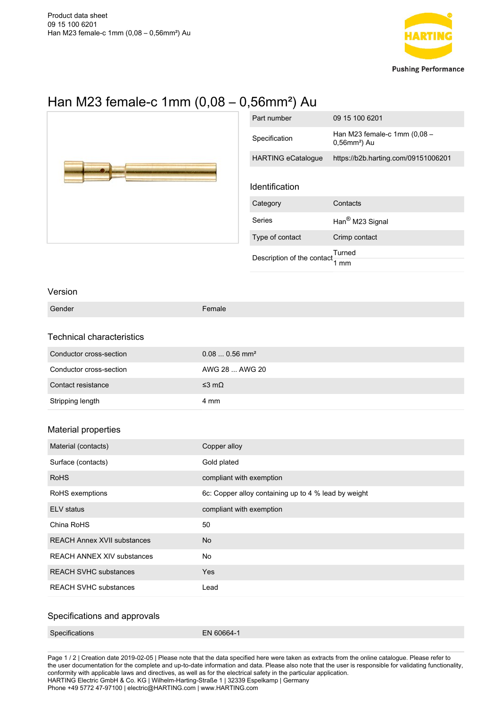

## Han M23 female-c 1mm (0,08 – 0,56mm²) Au



| Part number                | 09 15 100 6201                                              |
|----------------------------|-------------------------------------------------------------|
| Specification              | Han M23 female-c 1mm (0,08 -<br>$0,56$ mm <sup>2</sup> ) Au |
| <b>HARTING eCatalogue</b>  | https://b2b.harting.com/09151006201                         |
| Identification             |                                                             |
| Category                   | Contacts                                                    |
| Series                     | Han <sup>®</sup> M23 Signal                                 |
| Type of contact            | Crimp contact                                               |
| Description of the contact | Turned                                                      |

## Version

| Gender                             | Female                                               |
|------------------------------------|------------------------------------------------------|
|                                    |                                                      |
| Technical characteristics          |                                                      |
| Conductor cross-section            | $0.080.56$ mm <sup>2</sup>                           |
| Conductor cross-section            | AWG 28  AWG 20                                       |
| Contact resistance                 | $≤3$ mΩ                                              |
| Stripping length                   | 4 mm                                                 |
|                                    |                                                      |
| Material properties                |                                                      |
| Material (contacts)                | Copper alloy                                         |
| Surface (contacts)                 | Gold plated                                          |
| <b>RoHS</b>                        | compliant with exemption                             |
| RoHS exemptions                    | 6c: Copper alloy containing up to 4 % lead by weight |
| <b>ELV</b> status                  | compliant with exemption                             |
| China RoHS                         | 50                                                   |
| <b>REACH Annex XVII substances</b> | <b>No</b>                                            |
| <b>REACH ANNEX XIV substances</b>  | No                                                   |
| <b>REACH SVHC substances</b>       | Yes                                                  |
| <b>REACH SVHC substances</b>       | Lead                                                 |
|                                    |                                                      |

## Specifications and approvals

Page 1 / 2 | Creation date 2019-02-05 | Please note that the data specified here were taken as extracts from the online catalogue. Please refer to the user documentation for the complete and up-to-date information and data. Please also note that the user is responsible for validating functionality, conformity with applicable laws and directives, as well as for the electrical safety in the particular application. HARTING Electric GmbH & Co. KG | Wilhelm-Harting-Straße 1 | 32339 Espelkamp | Germany Phone +49 5772 47-97100 | electric@HARTING.com | www.HARTING.com